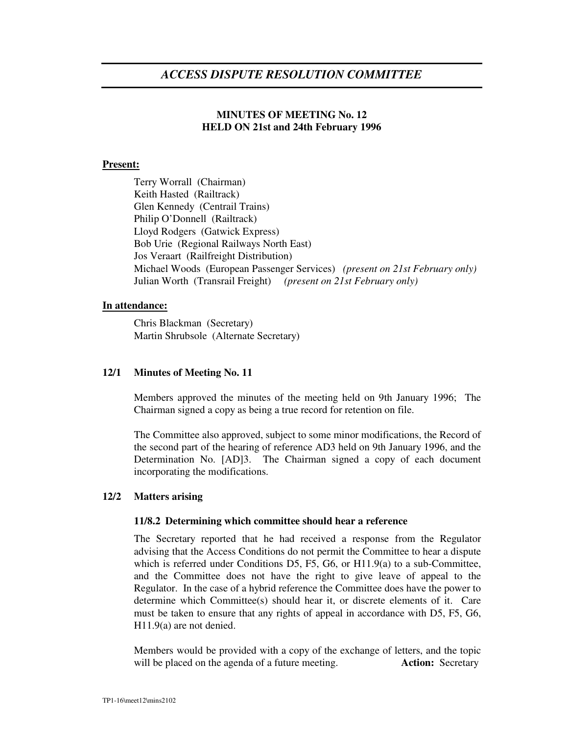# *ACCESS DISPUTE RESOLUTION COMMITTEE*

## **MINUTES OF MEETING No. 12 HELD ON 21st and 24th February 1996**

## **Present:**

Terry Worrall (Chairman) Keith Hasted (Railtrack) Glen Kennedy (Centrail Trains) Philip O'Donnell (Railtrack) Lloyd Rodgers (Gatwick Express) Bob Urie (Regional Railways North East) Jos Veraart (Railfreight Distribution) Michael Woods (European Passenger Services) *(present on 21st February only)* Julian Worth (Transrail Freight) *(present on 21st February only)*

## **In attendance:**

Chris Blackman (Secretary) Martin Shrubsole (Alternate Secretary)

## **12/1 Minutes of Meeting No. 11**

Members approved the minutes of the meeting held on 9th January 1996; The Chairman signed a copy as being a true record for retention on file.

The Committee also approved, subject to some minor modifications, the Record of the second part of the hearing of reference AD3 held on 9th January 1996, and the Determination No. [AD]3. The Chairman signed a copy of each document incorporating the modifications.

### **12/2 Matters arising**

#### **11/8.2 Determining which committee should hear a reference**

The Secretary reported that he had received a response from the Regulator advising that the Access Conditions do not permit the Committee to hear a dispute which is referred under Conditions D5, F5, G6, or H11.9(a) to a sub-Committee, and the Committee does not have the right to give leave of appeal to the Regulator. In the case of a hybrid reference the Committee does have the power to determine which Committee(s) should hear it, or discrete elements of it. Care must be taken to ensure that any rights of appeal in accordance with D5, F5, G6, H11.9(a) are not denied.

Members would be provided with a copy of the exchange of letters, and the topic will be placed on the agenda of a future meeting. **Action:** Secretary